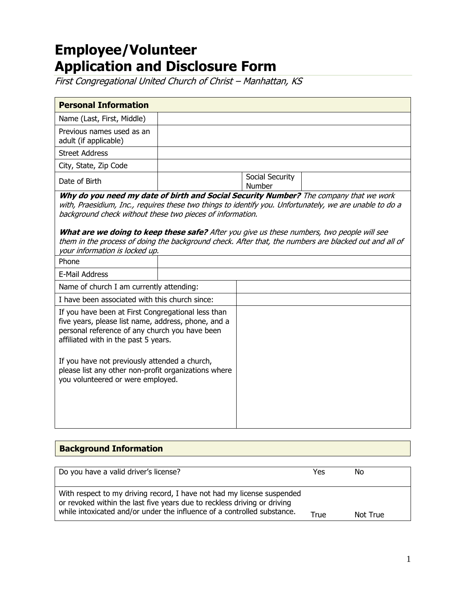# **Employee/Volunteer Application and Disclosure Form**

First Congregational United Church of Christ – Manhattan, KS

| <b>Personal Information</b>                                                                                                                                                                                                                                                                                                                                                                         |  |                           |                                                                                                                                                                                                                  |
|-----------------------------------------------------------------------------------------------------------------------------------------------------------------------------------------------------------------------------------------------------------------------------------------------------------------------------------------------------------------------------------------------------|--|---------------------------|------------------------------------------------------------------------------------------------------------------------------------------------------------------------------------------------------------------|
| Name (Last, First, Middle)                                                                                                                                                                                                                                                                                                                                                                          |  |                           |                                                                                                                                                                                                                  |
| Previous names used as an<br>adult (if applicable)                                                                                                                                                                                                                                                                                                                                                  |  |                           |                                                                                                                                                                                                                  |
| <b>Street Address</b>                                                                                                                                                                                                                                                                                                                                                                               |  |                           |                                                                                                                                                                                                                  |
| City, State, Zip Code                                                                                                                                                                                                                                                                                                                                                                               |  |                           |                                                                                                                                                                                                                  |
| Date of Birth                                                                                                                                                                                                                                                                                                                                                                                       |  | Social Security<br>Number |                                                                                                                                                                                                                  |
| Why do you need my date of birth and Social Security Number? The company that we work<br>background check without these two pieces of information.<br>What are we doing to keep these safe? After you give us these numbers, two people will see<br>your information is locked up.                                                                                                                  |  |                           | with, Praesidium, Inc., requires these two things to identify you. Unfortunately, we are unable to do a<br>them in the process of doing the background check. After that, the numbers are blacked out and all of |
| Phone                                                                                                                                                                                                                                                                                                                                                                                               |  |                           |                                                                                                                                                                                                                  |
| <b>E-Mail Address</b>                                                                                                                                                                                                                                                                                                                                                                               |  |                           |                                                                                                                                                                                                                  |
| Name of church I am currently attending:                                                                                                                                                                                                                                                                                                                                                            |  |                           |                                                                                                                                                                                                                  |
|                                                                                                                                                                                                                                                                                                                                                                                                     |  |                           |                                                                                                                                                                                                                  |
| I have been associated with this church since:<br>If you have been at First Congregational less than<br>five years, please list name, address, phone, and a<br>personal reference of any church you have been<br>affiliated with in the past 5 years.<br>If you have not previously attended a church,<br>please list any other non-profit organizations where<br>you volunteered or were employed. |  |                           |                                                                                                                                                                                                                  |

### **Background Information**

| Do you have a valid driver's license?                                                                                                                                                                                         | Yes  | No       |
|-------------------------------------------------------------------------------------------------------------------------------------------------------------------------------------------------------------------------------|------|----------|
| With respect to my driving record, I have not had my license suspended<br>or revoked within the last five years due to reckless driving or driving<br>while intoxicated and/or under the influence of a controlled substance. | True | Not True |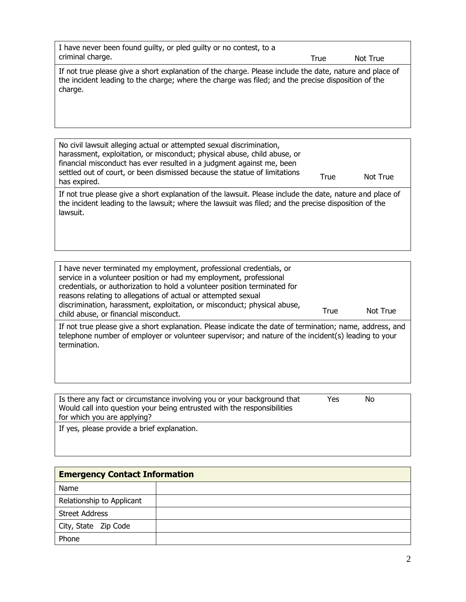| I have never been found quilty, or pled quilty or no contest, to a<br>criminal charge.                                                                                                                                   | True | Not True |
|--------------------------------------------------------------------------------------------------------------------------------------------------------------------------------------------------------------------------|------|----------|
| If not true please give a short explanation of the charge. Please include the date, nature and place of<br>the incident leading to the charge; where the charge was filed; and the precise disposition of the<br>charge. |      |          |

| No civil lawsuit alleging actual or attempted sexual discrimination,                                                                                               |      |          |
|--------------------------------------------------------------------------------------------------------------------------------------------------------------------|------|----------|
| harassment, exploitation, or misconduct; physical abuse, child abuse, or                                                                                           |      |          |
| financial misconduct has ever resulted in a judgment against me, been<br>settled out of court, or been dismissed because the statue of limitations<br>has expired. | True | Not True |
| If not true please give a short explanation of the lawsuit. Please include the date, pature and place of                                                           |      |          |

If not true please give a short explanation of the lawsuit. Please include the date, nature and place of the incident leading to the lawsuit; where the lawsuit was filed; and the precise disposition of the lawsuit.

| I have never terminated my employment, professional credentials, or<br>service in a volunteer position or had my employment, professional<br>credentials, or authorization to hold a volunteer position terminated for<br>reasons relating to allegations of actual or attempted sexual<br>discrimination, harassment, exploitation, or misconduct; physical abuse,<br>child abuse, or financial misconduct. | True | Not True |
|--------------------------------------------------------------------------------------------------------------------------------------------------------------------------------------------------------------------------------------------------------------------------------------------------------------------------------------------------------------------------------------------------------------|------|----------|
| If not true please give a short explanation. Please indicate the date of termination; name, address, and<br>telephone number of employer or volunteer supervisor; and nature of the incident(s) leading to your<br>termination.                                                                                                                                                                              |      |          |

| I Is there any fact or circumstance involving you or your background that | Yes | No |  |
|---------------------------------------------------------------------------|-----|----|--|
| Would call into question your being entrusted with the responsibilities   |     |    |  |
| for which you are applying?                                               |     |    |  |
| If yes, please provide a brief explanation.                               |     |    |  |

| <b>Emergency Contact Information</b> |  |  |
|--------------------------------------|--|--|
| Name                                 |  |  |
| Relationship to Applicant            |  |  |
| <b>Street Address</b>                |  |  |
| City, State Zip Code                 |  |  |
| Phone                                |  |  |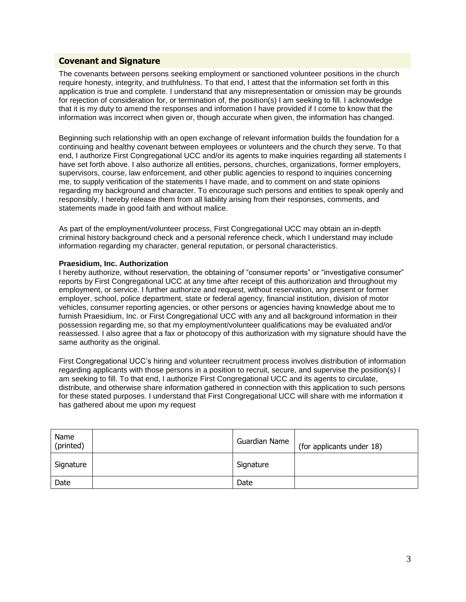#### **Covenant and Signature**

The covenants between persons seeking employment or sanctioned volunteer positions in the church require honesty, integrity, and truthfulness. To that end, I attest that the information set forth in this application is true and complete. I understand that any misrepresentation or omission may be grounds for rejection of consideration for, or termination of, the position(s) I am seeking to fill. I acknowledge that it is my duty to amend the responses and information I have provided if I come to know that the information was incorrect when given or, though accurate when given, the information has changed.

Beginning such relationship with an open exchange of relevant information builds the foundation for a continuing and healthy covenant between employees or volunteers and the church they serve. To that end, I authorize First Congregational UCC and/or its agents to make inquiries regarding all statements I have set forth above. I also authorize all entities, persons, churches, organizations, former employers, supervisors, course, law enforcement, and other public agencies to respond to inquiries concerning me, to supply verification of the statements I have made, and to comment on and state opinions regarding my background and character. To encourage such persons and entities to speak openly and responsibly, I hereby release them from all liability arising from their responses, comments, and statements made in good faith and without malice.

As part of the employment/volunteer process, First Congregational UCC may obtain an in-depth criminal history background check and a personal reference check, which I understand may include information regarding my character, general reputation, or personal characteristics.

#### **Praesidium, Inc. Authorization**

I hereby authorize, without reservation, the obtaining of "consumer reports" or "investigative consumer" reports by First Congregational UCC at any time after receipt of this authorization and throughout my employment, or service. I further authorize and request, without reservation, any present or former employer, school, police department, state or federal agency, financial institution, division of motor vehicles, consumer reporting agencies, or other persons or agencies having knowledge about me to furnish Praesidium, Inc. or First Congregational UCC with any and all background information in their possession regarding me, so that my employment/volunteer qualifications may be evaluated and/or reassessed. I also agree that a fax or photocopy of this authorization with my signature should have the same authority as the original.

First Congregational UCC's hiring and volunteer recruitment process involves distribution of information regarding applicants with those persons in a position to recruit, secure, and supervise the position(s) I am seeking to fill. To that end, I authorize First Congregational UCC and its agents to circulate, distribute, and otherwise share information gathered in connection with this application to such persons for these stated purposes. I understand that First Congregational UCC will share with me information it has gathered about me upon my request

| Name<br>(printed) | Guardian Name | (for applicants under 18) |
|-------------------|---------------|---------------------------|
| Signature         | Signature     |                           |
| Date              | Date          |                           |